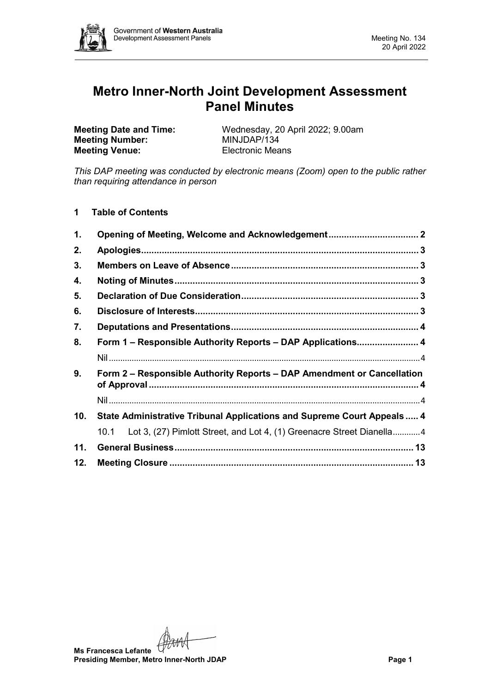

# **Metro Inner-North Joint Development Assessment Panel Minutes**

**Meeting Number: Meeting Venue:** Electronic Means

**Meeting Date and Time:** Wednesday, 20 April 2022; 9.00am<br> **Meeting Number:** MINJDAP/134

*This DAP meeting was conducted by electronic means (Zoom) open to the public rather than requiring attendance in person*

**1 Table of Contents**

| 1.                                                                                       |                                                                               |  |  |
|------------------------------------------------------------------------------------------|-------------------------------------------------------------------------------|--|--|
| 2.                                                                                       |                                                                               |  |  |
| 3.                                                                                       |                                                                               |  |  |
| 4.                                                                                       |                                                                               |  |  |
| 5.                                                                                       |                                                                               |  |  |
| 6.                                                                                       |                                                                               |  |  |
| 7.                                                                                       |                                                                               |  |  |
| 8.                                                                                       | Form 1 - Responsible Authority Reports - DAP Applications 4                   |  |  |
|                                                                                          |                                                                               |  |  |
| 9 <sub>1</sub><br>Form 2 – Responsible Authority Reports – DAP Amendment or Cancellation |                                                                               |  |  |
|                                                                                          |                                                                               |  |  |
| 10.                                                                                      | State Administrative Tribunal Applications and Supreme Court Appeals  4       |  |  |
|                                                                                          | Lot 3, (27) Pimlott Street, and Lot 4, (1) Greenacre Street Dianella4<br>10.1 |  |  |
| 11.                                                                                      |                                                                               |  |  |
| 12.                                                                                      |                                                                               |  |  |

**Ms Francesca Lefante Presiding Member, Metro Inner-North JDAP Page 1**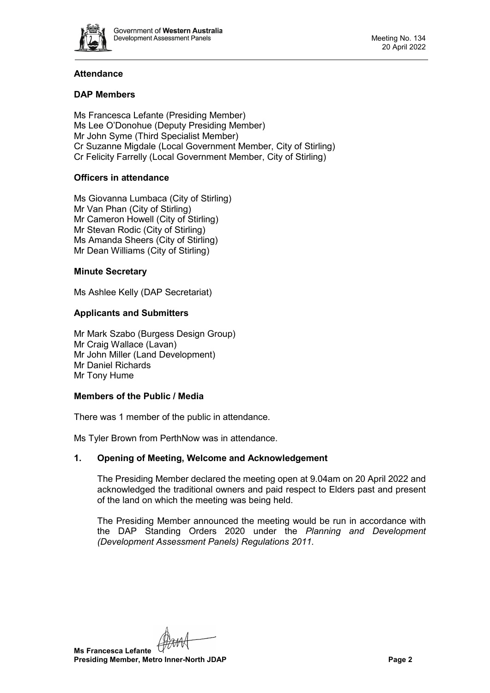

# **Attendance**

# **DAP Members**

Ms Francesca Lefante (Presiding Member) Ms Lee O'Donohue (Deputy Presiding Member) Mr John Syme (Third Specialist Member) Cr Suzanne Migdale (Local Government Member, City of Stirling) Cr Felicity Farrelly (Local Government Member, City of Stirling)

# **Officers in attendance**

Ms Giovanna Lumbaca (City of Stirling) Mr Van Phan (City of Stirling) Mr Cameron Howell (City of Stirling) Mr Stevan Rodic (City of Stirling) Ms Amanda Sheers (City of Stirling) Mr Dean Williams (City of Stirling)

# **Minute Secretary**

Ms Ashlee Kelly (DAP Secretariat)

# **Applicants and Submitters**

Mr Mark Szabo (Burgess Design Group) Mr Craig Wallace (Lavan) Mr John Miller (Land Development) Mr Daniel Richards Mr Tony Hume

# **Members of the Public / Media**

There was 1 member of the public in attendance.

<span id="page-1-0"></span>Ms Tyler Brown from PerthNow was in attendance.

# **1. Opening of Meeting, Welcome and Acknowledgement**

The Presiding Member declared the meeting open at 9.04am on 20 April 2022 and acknowledged the traditional owners and paid respect to Elders past and present of the land on which the meeting was being held.

The Presiding Member announced the meeting would be run in accordance with the DAP Standing Orders 2020 under the *Planning and Development (Development Assessment Panels) Regulations 2011.*

**Ms Francesca Lefante Presiding Member, Metro Inner-North JDAP Page 2**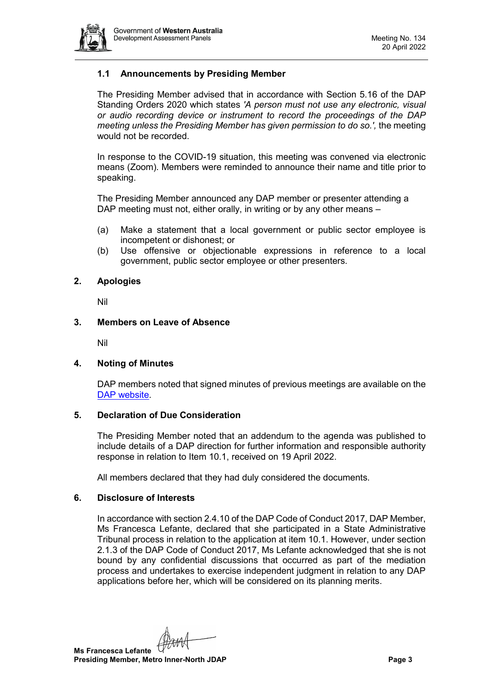

# **1.1 Announcements by Presiding Member**

The Presiding Member advised that in accordance with Section 5.16 of the DAP Standing Orders 2020 which states *'A person must not use any electronic, visual or audio recording device or instrument to record the proceedings of the DAP meeting unless the Presiding Member has given permission to do so.',* the meeting would not be recorded.

In response to the COVID-19 situation, this meeting was convened via electronic means (Zoom). Members were reminded to announce their name and title prior to speaking.

The Presiding Member announced any DAP member or presenter attending a DAP meeting must not, either orally, in writing or by any other means –

- (a) Make a statement that a local government or public sector employee is incompetent or dishonest; or
- (b) Use offensive or objectionable expressions in reference to a local government, public sector employee or other presenters.

#### <span id="page-2-0"></span>**2. Apologies**

Nil

#### <span id="page-2-1"></span>**3. Members on Leave of Absence**

Nil

# <span id="page-2-2"></span>**4. Noting of Minutes**

DAP members noted that signed minutes of previous meetings are available on the [DAP website.](https://www.dplh.wa.gov.au/about/development-assessment-panels/daps-agendas-and-minutes)

#### <span id="page-2-3"></span>**5. Declaration of Due Consideration**

The Presiding Member noted that an addendum to the agenda was published to include details of a DAP direction for further information and responsible authority response in relation to Item 10.1, received on 19 April 2022.

All members declared that they had duly considered the documents.

#### <span id="page-2-4"></span>**6. Disclosure of Interests**

In accordance with section 2.4.10 of the DAP Code of Conduct 2017, DAP Member, Ms Francesca Lefante, declared that she participated in a State Administrative Tribunal process in relation to the application at item 10.1. However, under section 2.1.3 of the DAP Code of Conduct 2017, Ms Lefante acknowledged that she is not bound by any confidential discussions that occurred as part of the mediation process and undertakes to exercise independent judgment in relation to any DAP applications before her, which will be considered on its planning merits.

**Ms Francesca Lefante Presiding Member, Metro Inner-North JDAP Page 3**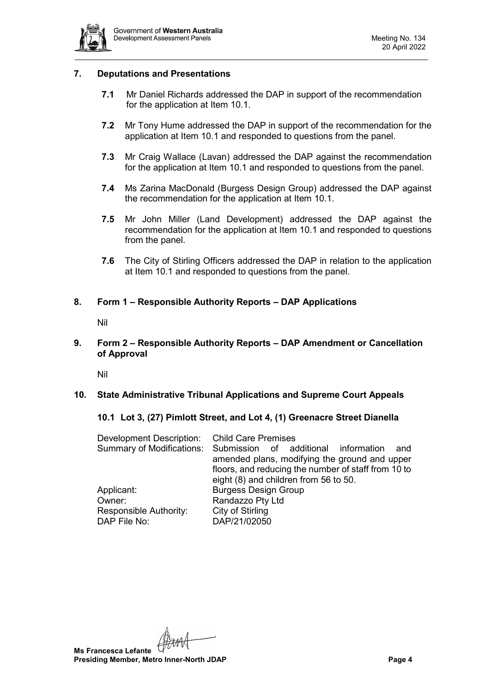

#### <span id="page-3-0"></span>**7. Deputations and Presentations**

- **7.1** Mr Daniel Richards addressed the DAP in support of the recommendation for the application at Item 10.1.
- **7.2** Mr Tony Hume addressed the DAP in support of the recommendation for the application at Item 10.1 and responded to questions from the panel.
- **7.3** Mr Craig Wallace (Lavan) addressed the DAP against the recommendation for the application at Item 10.1 and responded to questions from the panel.
- **7.4** Ms Zarina MacDonald (Burgess Design Group) addressed the DAP against the recommendation for the application at Item 10.1.
- **7.5** Mr John Miller (Land Development) addressed the DAP against the recommendation for the application at Item 10.1 and responded to questions from the panel.
- **7.6** The City of Stirling Officers addressed the DAP in relation to the application at Item 10.1 and responded to questions from the panel.

# <span id="page-3-2"></span><span id="page-3-1"></span>**8. Form 1 – Responsible Authority Reports – DAP Applications**

Nil

# <span id="page-3-3"></span>**9. Form 2 – Responsible Authority Reports – DAP Amendment or Cancellation of Approval**

Nil

# <span id="page-3-6"></span><span id="page-3-5"></span><span id="page-3-4"></span>**10. State Administrative Tribunal Applications and Supreme Court Appeals**

#### **10.1 Lot 3, (27) Pimlott Street, and Lot 4, (1) Greenacre Street Dianella**

| Development Description: Child Care Premises |                                                                       |  |  |  |
|----------------------------------------------|-----------------------------------------------------------------------|--|--|--|
|                                              | Summary of Modifications: Submission of additional information<br>and |  |  |  |
|                                              | amended plans, modifying the ground and upper                         |  |  |  |
|                                              | floors, and reducing the number of staff from 10 to                   |  |  |  |
|                                              | eight (8) and children from 56 to 50.                                 |  |  |  |
| Applicant:                                   | <b>Burgess Design Group</b>                                           |  |  |  |
| Owner:                                       | Randazzo Pty Ltd                                                      |  |  |  |
| Responsible Authority:                       | City of Stirling                                                      |  |  |  |
| DAP File No:                                 | DAP/21/02050                                                          |  |  |  |

**Ms Francesca Lefante Presiding Member, Metro Inner-North JDAP Page 4**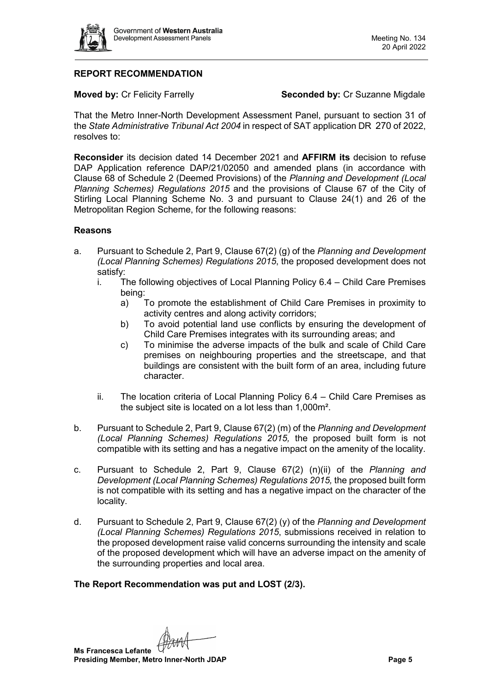

# **REPORT RECOMMENDATION**

**Moved by: Cr Felicity Farrelly <b>Seconded by: Cr Suzanne Migdale** 

That the Metro Inner-North Development Assessment Panel, pursuant to section 31 of the *State Administrative Tribunal Act 2004* in respect of SAT application DR 270 of 2022, resolves to:

**Reconsider** its decision dated 14 December 2021 and **AFFIRM its** decision to refuse DAP Application reference DAP/21/02050 and amended plans (in accordance with Clause 68 of Schedule 2 (Deemed Provisions) of the *Planning and Development (Local Planning Schemes) Regulations 2015* and the provisions of Clause 67 of the City of Stirling Local Planning Scheme No. 3 and pursuant to Clause 24(1) and 26 of the Metropolitan Region Scheme, for the following reasons:

#### **Reasons**

- a. Pursuant to Schedule 2, Part 9, Clause 67(2) (g) of the *Planning and Development (Local Planning Schemes) Regulations 2015*, the proposed development does not satisfy:
	- i. The following objectives of Local Planning Policy 6.4 Child Care Premises being:
		- a) To promote the establishment of Child Care Premises in proximity to activity centres and along activity corridors;
		- b) To avoid potential land use conflicts by ensuring the development of Child Care Premises integrates with its surrounding areas; and
		- c) To minimise the adverse impacts of the bulk and scale of Child Care premises on neighbouring properties and the streetscape, and that buildings are consistent with the built form of an area, including future character.
	- ii. The location criteria of Local Planning Policy 6.4 Child Care Premises as the subject site is located on a lot less than 1,000m².
- b. Pursuant to Schedule 2, Part 9, Clause 67(2) (m) of the *Planning and Development (Local Planning Schemes) Regulations 2015,* the proposed built form is not compatible with its setting and has a negative impact on the amenity of the locality.
- c. Pursuant to Schedule 2, Part 9, Clause 67(2) (n)(ii) of the *Planning and Development (Local Planning Schemes) Regulations 2015, the proposed built form* is not compatible with its setting and has a negative impact on the character of the locality.
- d. Pursuant to Schedule 2, Part 9, Clause 67(2) (y) of the *Planning and Development (Local Planning Schemes) Regulations 2015*, submissions received in relation to the proposed development raise valid concerns surrounding the intensity and scale of the proposed development which will have an adverse impact on the amenity of the surrounding properties and local area.

# **The Report Recommendation was put and LOST (2/3).**

**Ms Francesca Lefante Presiding Member, Metro Inner-North JDAP Page 5**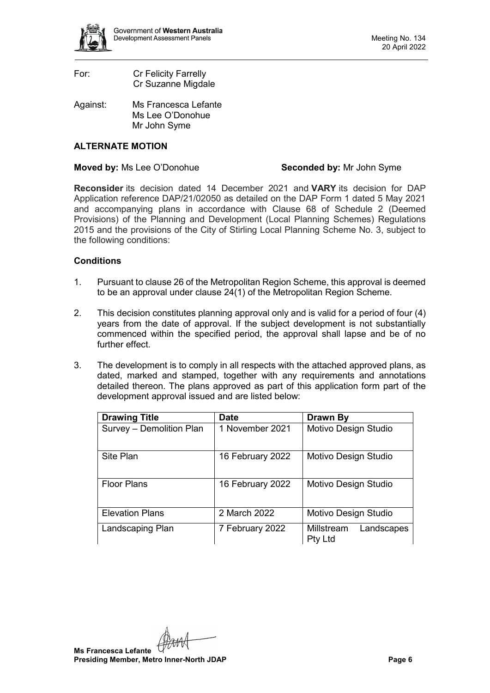

| For: | <b>Cr Felicity Farrelly</b> |
|------|-----------------------------|
|      | Cr Suzanne Migdale          |

Against: Ms Francesca Lefante Ms Lee O'Donohue Mr John Syme

# **ALTERNATE MOTION**

#### **Moved by:** Ms Lee O'Donohue **Seconded by:** Mr John Syme

**Reconsider** its decision dated 14 December 2021 and **VARY** its decision for DAP Application reference DAP/21/02050 as detailed on the DAP Form 1 dated 5 May 2021 and accompanying plans in accordance with Clause 68 of Schedule 2 (Deemed Provisions) of the Planning and Development (Local Planning Schemes) Regulations 2015 and the provisions of the City of Stirling Local Planning Scheme No. 3, subject to the following conditions:

#### **Conditions**

- 1. Pursuant to clause 26 of the Metropolitan Region Scheme, this approval is deemed to be an approval under clause 24(1) of the Metropolitan Region Scheme.
- 2. This decision constitutes planning approval only and is valid for a period of four (4) years from the date of approval. If the subject development is not substantially commenced within the specified period, the approval shall lapse and be of no further effect.
- 3. The development is to comply in all respects with the attached approved plans, as dated, marked and stamped, together with any requirements and annotations detailed thereon. The plans approved as part of this application form part of the development approval issued and are listed below:

| <b>Drawing Title</b>     | <b>Date</b>      | Drawn By                            |  |
|--------------------------|------------------|-------------------------------------|--|
| Survey - Demolition Plan | 1 November 2021  | Motivo Design Studio                |  |
| Site Plan                | 16 February 2022 | Motivo Design Studio                |  |
| <b>Floor Plans</b>       | 16 February 2022 | Motivo Design Studio                |  |
| <b>Elevation Plans</b>   | 2 March 2022     | Motivo Design Studio                |  |
| Landscaping Plan         | 7 February 2022  | Millstream<br>Landscapes<br>Pty Ltd |  |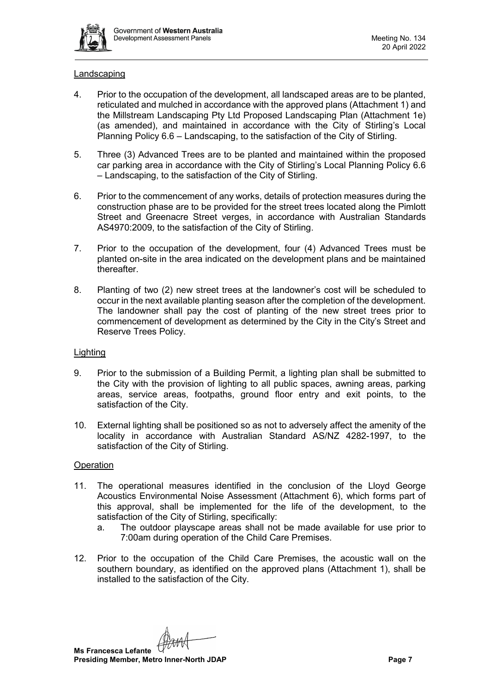

#### Landscaping

- 4. Prior to the occupation of the development, all landscaped areas are to be planted, reticulated and mulched in accordance with the approved plans (Attachment 1) and the Millstream Landscaping Pty Ltd Proposed Landscaping Plan (Attachment 1e) (as amended), and maintained in accordance with the City of Stirling's Local Planning Policy 6.6 – Landscaping, to the satisfaction of the City of Stirling.
- 5. Three (3) Advanced Trees are to be planted and maintained within the proposed car parking area in accordance with the City of Stirling's Local Planning Policy 6.6 – Landscaping, to the satisfaction of the City of Stirling.
- 6. Prior to the commencement of any works, details of protection measures during the construction phase are to be provided for the street trees located along the Pimlott Street and Greenacre Street verges, in accordance with Australian Standards AS4970:2009, to the satisfaction of the City of Stirling.
- 7. Prior to the occupation of the development, four (4) Advanced Trees must be planted on-site in the area indicated on the development plans and be maintained thereafter.
- 8. Planting of two (2) new street trees at the landowner's cost will be scheduled to occur in the next available planting season after the completion of the development. The landowner shall pay the cost of planting of the new street trees prior to commencement of development as determined by the City in the City's Street and Reserve Trees Policy.

#### Lighting

- 9. Prior to the submission of a Building Permit, a lighting plan shall be submitted to the City with the provision of lighting to all public spaces, awning areas, parking areas, service areas, footpaths, ground floor entry and exit points, to the satisfaction of the City.
- 10. External lighting shall be positioned so as not to adversely affect the amenity of the locality in accordance with Australian Standard AS/NZ 4282-1997, to the satisfaction of the City of Stirling.

#### **Operation**

- 11. The operational measures identified in the conclusion of the Lloyd George Acoustics Environmental Noise Assessment (Attachment 6), which forms part of this approval, shall be implemented for the life of the development, to the satisfaction of the City of Stirling, specifically:
	- a. The outdoor playscape areas shall not be made available for use prior to 7:00am during operation of the Child Care Premises.
- 12. Prior to the occupation of the Child Care Premises, the acoustic wall on the southern boundary, as identified on the approved plans (Attachment 1), shall be installed to the satisfaction of the City.

**Ms Francesca Lefante Presiding Member, Metro Inner-North JDAP Page 7**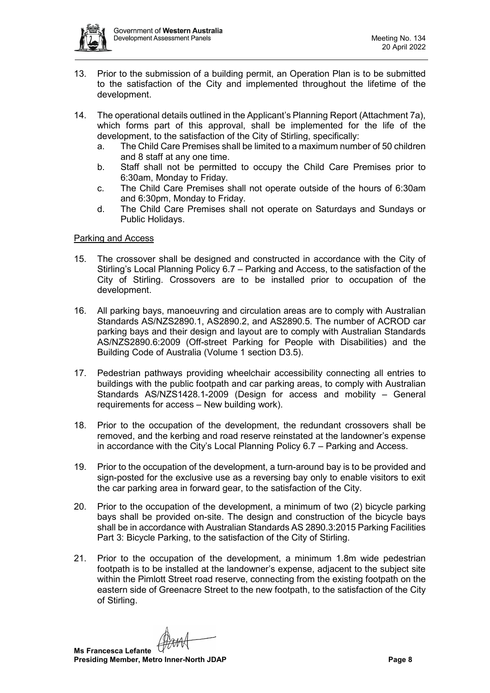

- 13. Prior to the submission of a building permit, an Operation Plan is to be submitted to the satisfaction of the City and implemented throughout the lifetime of the development.
- 14. The operational details outlined in the Applicant's Planning Report (Attachment 7a), which forms part of this approval, shall be implemented for the life of the development, to the satisfaction of the City of Stirling, specifically:
	- a. The Child Care Premises shall be limited to a maximum number of 50 children and 8 staff at any one time.
	- b. Staff shall not be permitted to occupy the Child Care Premises prior to 6:30am, Monday to Friday.
	- c. The Child Care Premises shall not operate outside of the hours of 6:30am and 6:30pm, Monday to Friday.
	- d. The Child Care Premises shall not operate on Saturdays and Sundays or Public Holidays.

#### Parking and Access

- 15. The crossover shall be designed and constructed in accordance with the City of Stirling's Local Planning Policy 6.7 – Parking and Access, to the satisfaction of the City of Stirling. Crossovers are to be installed prior to occupation of the development.
- 16. All parking bays, manoeuvring and circulation areas are to comply with Australian Standards AS/NZS2890.1, AS2890.2, and AS2890.5. The number of ACROD car parking bays and their design and layout are to comply with Australian Standards AS/NZS2890.6:2009 (Off-street Parking for People with Disabilities) and the Building Code of Australia (Volume 1 section D3.5).
- 17. Pedestrian pathways providing wheelchair accessibility connecting all entries to buildings with the public footpath and car parking areas, to comply with Australian Standards AS/NZS1428.1-2009 (Design for access and mobility – General requirements for access – New building work).
- 18. Prior to the occupation of the development, the redundant crossovers shall be removed, and the kerbing and road reserve reinstated at the landowner's expense in accordance with the City's Local Planning Policy 6.7 – Parking and Access.
- 19. Prior to the occupation of the development, a turn-around bay is to be provided and sign-posted for the exclusive use as a reversing bay only to enable visitors to exit the car parking area in forward gear, to the satisfaction of the City.
- 20. Prior to the occupation of the development, a minimum of two (2) bicycle parking bays shall be provided on-site. The design and construction of the bicycle bays shall be in accordance with Australian Standards AS 2890.3:2015 Parking Facilities Part 3: Bicycle Parking, to the satisfaction of the City of Stirling.
- 21. Prior to the occupation of the development, a minimum 1.8m wide pedestrian footpath is to be installed at the landowner's expense, adjacent to the subject site within the Pimlott Street road reserve, connecting from the existing footpath on the eastern side of Greenacre Street to the new footpath, to the satisfaction of the City of Stirling.

**Ms Francesca Lefante Presiding Member, Metro Inner-North JDAP Page 8**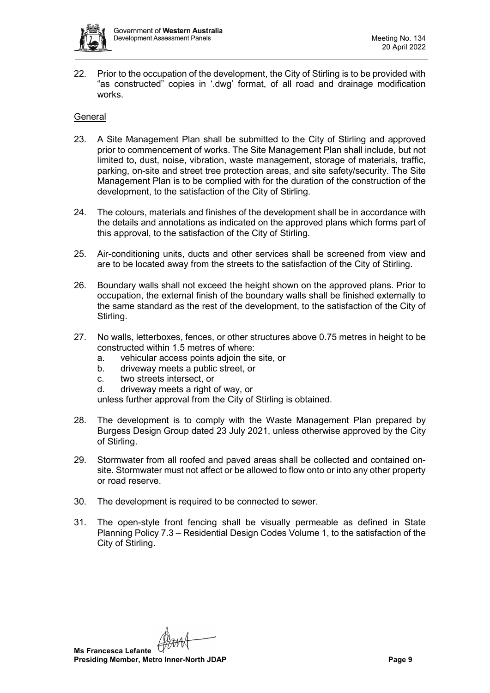

22. Prior to the occupation of the development, the City of Stirling is to be provided with "as constructed" copies in '.dwg' format, of all road and drainage modification works.

#### General

- 23. A Site Management Plan shall be submitted to the City of Stirling and approved prior to commencement of works. The Site Management Plan shall include, but not limited to, dust, noise, vibration, waste management, storage of materials, traffic, parking, on-site and street tree protection areas, and site safety/security. The Site Management Plan is to be complied with for the duration of the construction of the development, to the satisfaction of the City of Stirling.
- 24. The colours, materials and finishes of the development shall be in accordance with the details and annotations as indicated on the approved plans which forms part of this approval, to the satisfaction of the City of Stirling.
- 25. Air-conditioning units, ducts and other services shall be screened from view and are to be located away from the streets to the satisfaction of the City of Stirling.
- 26. Boundary walls shall not exceed the height shown on the approved plans. Prior to occupation, the external finish of the boundary walls shall be finished externally to the same standard as the rest of the development, to the satisfaction of the City of Stirling.
- 27. No walls, letterboxes, fences, or other structures above 0.75 metres in height to be constructed within 1.5 metres of where:
	- a. vehicular access points adjoin the site, or
	- b. driveway meets a public street, or
	- c. two streets intersect, or
	- d. driveway meets a right of way, or

unless further approval from the City of Stirling is obtained.

- 28. The development is to comply with the Waste Management Plan prepared by Burgess Design Group dated 23 July 2021, unless otherwise approved by the City of Stirling.
- 29. Stormwater from all roofed and paved areas shall be collected and contained onsite. Stormwater must not affect or be allowed to flow onto or into any other property or road reserve.
- 30. The development is required to be connected to sewer.
- 31. The open-style front fencing shall be visually permeable as defined in State Planning Policy 7.3 – Residential Design Codes Volume 1, to the satisfaction of the City of Stirling.

**Ms Francesca Lefante Presiding Member, Metro Inner-North JDAP Page 9**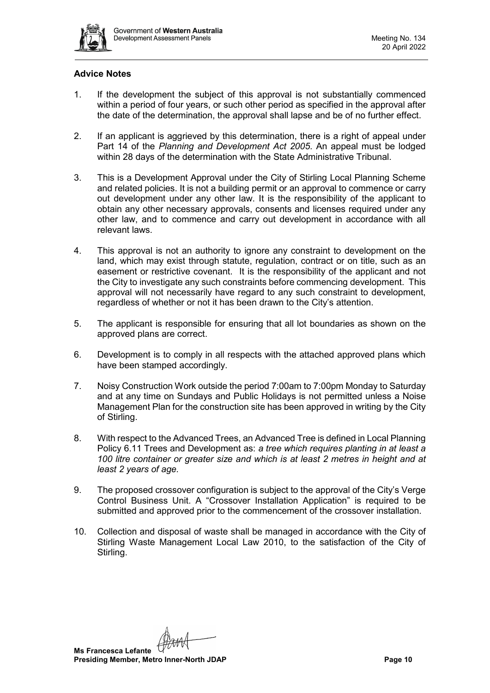

# **Advice Notes**

- 1. If the development the subject of this approval is not substantially commenced within a period of four years, or such other period as specified in the approval after the date of the determination, the approval shall lapse and be of no further effect.
- 2. If an applicant is aggrieved by this determination, there is a right of appeal under Part 14 of the *Planning and Development Act 2005*. An appeal must be lodged within 28 days of the determination with the State Administrative Tribunal.
- 3. This is a Development Approval under the City of Stirling Local Planning Scheme and related policies. It is not a building permit or an approval to commence or carry out development under any other law. It is the responsibility of the applicant to obtain any other necessary approvals, consents and licenses required under any other law, and to commence and carry out development in accordance with all relevant laws.
- 4. This approval is not an authority to ignore any constraint to development on the land, which may exist through statute, regulation, contract or on title, such as an easement or restrictive covenant. It is the responsibility of the applicant and not the City to investigate any such constraints before commencing development. This approval will not necessarily have regard to any such constraint to development, regardless of whether or not it has been drawn to the City's attention.
- 5. The applicant is responsible for ensuring that all lot boundaries as shown on the approved plans are correct.
- 6. Development is to comply in all respects with the attached approved plans which have been stamped accordingly.
- 7. Noisy Construction Work outside the period 7:00am to 7:00pm Monday to Saturday and at any time on Sundays and Public Holidays is not permitted unless a Noise Management Plan for the construction site has been approved in writing by the City of Stirling.
- 8. With respect to the Advanced Trees, an Advanced Tree is defined in Local Planning Policy 6.11 Trees and Development as: *a tree which requires planting in at least a 100 litre container or greater size and which is at least 2 metres in height and at least 2 years of age.*
- 9. The proposed crossover configuration is subject to the approval of the City's Verge Control Business Unit. A "Crossover Installation Application" is required to be submitted and approved prior to the commencement of the crossover installation.
- 10. Collection and disposal of waste shall be managed in accordance with the City of Stirling Waste Management Local Law 2010, to the satisfaction of the City of Stirling.

**Ms Francesca Lefante Presiding Member, Metro Inner-North JDAP Page 10**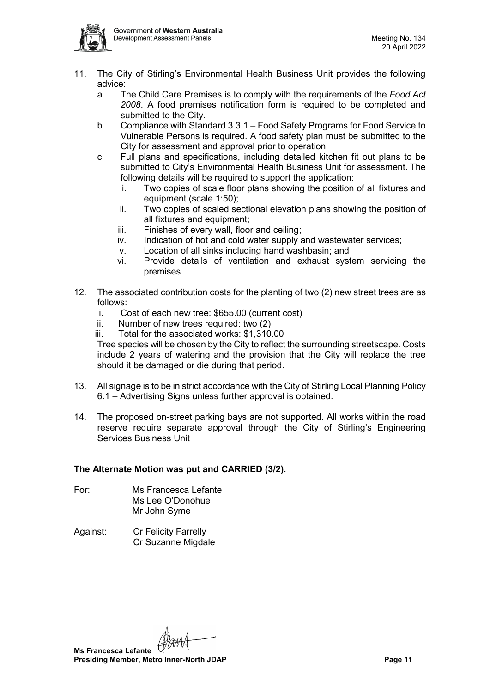

- 11. The City of Stirling's Environmental Health Business Unit provides the following advice:
	- a. The Child Care Premises is to comply with the requirements of the *Food Act 2008*. A food premises notification form is required to be completed and submitted to the City.
	- b. Compliance with Standard 3.3.1 Food Safety Programs for Food Service to Vulnerable Persons is required. A food safety plan must be submitted to the City for assessment and approval prior to operation.
	- c. Full plans and specifications, including detailed kitchen fit out plans to be submitted to City's Environmental Health Business Unit for assessment. The following details will be required to support the application:
		- i. Two copies of scale floor plans showing the position of all fixtures and equipment (scale 1:50);
		- ii. Two copies of scaled sectional elevation plans showing the position of all fixtures and equipment;
		- iii. Finishes of every wall, floor and ceiling;
		- iv. Indication of hot and cold water supply and wastewater services;
		- v. Location of all sinks including hand washbasin; and
		- vi. Provide details of ventilation and exhaust system servicing the premises.
- 12. The associated contribution costs for the planting of two (2) new street trees are as follows:
	- i. Cost of each new tree: \$655.00 (current cost)
	- ii. Number of new trees required: two (2)

iii. Total for the associated works: \$1,310.00

Tree species will be chosen by the City to reflect the surrounding streetscape. Costs include 2 years of watering and the provision that the City will replace the tree should it be damaged or die during that period.

- 13. All signage is to be in strict accordance with the City of Stirling Local Planning Policy 6.1 – Advertising Signs unless further approval is obtained.
- 14. The proposed on-street parking bays are not supported. All works within the road reserve require separate approval through the City of Stirling's Engineering Services Business Unit

# **The Alternate Motion was put and CARRIED (3/2).**

- For: Ms Francesca Lefante Ms Lee O'Donohue Mr John Syme
- Against: Cr Felicity Farrelly Cr Suzanne Migdale

**Ms Francesca Lefante Presiding Member, Metro Inner-North JDAP Page 11**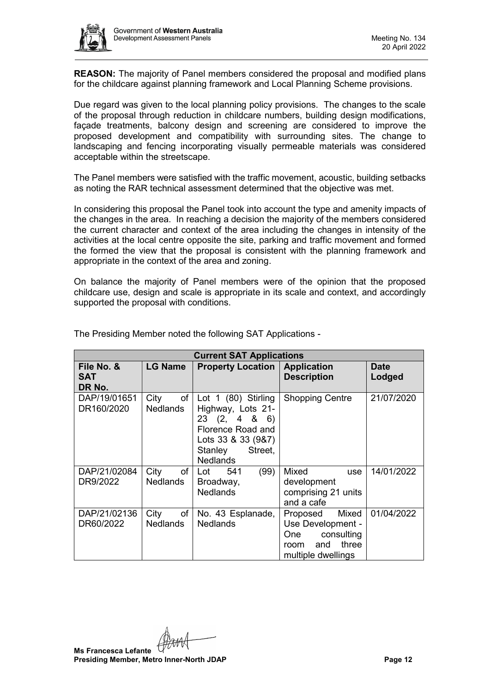

**REASON:** The majority of Panel members considered the proposal and modified plans for the childcare against planning framework and Local Planning Scheme provisions.

Due regard was given to the local planning policy provisions. The changes to the scale of the proposal through reduction in childcare numbers, building design modifications, façade treatments, balcony design and screening are considered to improve the proposed development and compatibility with surrounding sites. The change to landscaping and fencing incorporating visually permeable materials was considered acceptable within the streetscape.

The Panel members were satisfied with the traffic movement, acoustic, building setbacks as noting the RAR technical assessment determined that the objective was met.

In considering this proposal the Panel took into account the type and amenity impacts of the changes in the area. In reaching a decision the majority of the members considered the current character and context of the area including the changes in intensity of the activities at the local centre opposite the site, parking and traffic movement and formed the formed the view that the proposal is consistent with the planning framework and appropriate in the context of the area and zoning.

On balance the majority of Panel members were of the opinion that the proposed childcare use, design and scale is appropriate in its scale and context, and accordingly supported the proposal with conditions.

| <b>Current SAT Applications</b>    |                               |                                                                                                                                            |                                                                                                           |                       |
|------------------------------------|-------------------------------|--------------------------------------------------------------------------------------------------------------------------------------------|-----------------------------------------------------------------------------------------------------------|-----------------------|
| File No. &<br><b>SAT</b><br>DR No. | <b>LG Name</b>                | <b>Property Location</b>                                                                                                                   | <b>Application</b><br><b>Description</b>                                                                  | <b>Date</b><br>Lodged |
| DAP/19/01651<br>DR160/2020         | of<br>City<br><b>Nedlands</b> | Lot 1 (80) Stirling<br>Highway, Lots 21-<br>23(2, 486)<br>Florence Road and<br>Lots 33 & 33 (9&7)<br>Street.<br>Stanley<br><b>Nedlands</b> | <b>Shopping Centre</b>                                                                                    | 21/07/2020            |
| DAP/21/02084<br>DR9/2022           | of<br>City<br><b>Nedlands</b> | (99)<br>541<br>Lot<br>Broadway,<br><b>Nedlands</b>                                                                                         | Mixed<br>use<br>development<br>comprising 21 units<br>and a cafe                                          | 14/01/2022            |
| DAP/21/02136<br>DR60/2022          | of<br>City<br><b>Nedlands</b> | No. 43 Esplanade,<br><b>Nedlands</b>                                                                                                       | Mixed<br>Proposed<br>Use Development -<br>consulting<br>One<br>three<br>and<br>room<br>multiple dwellings | 01/04/2022            |

The Presiding Member noted the following SAT Applications -

**Ms Francesca Lefante Presiding Member, Metro Inner-North JDAP Page 12**